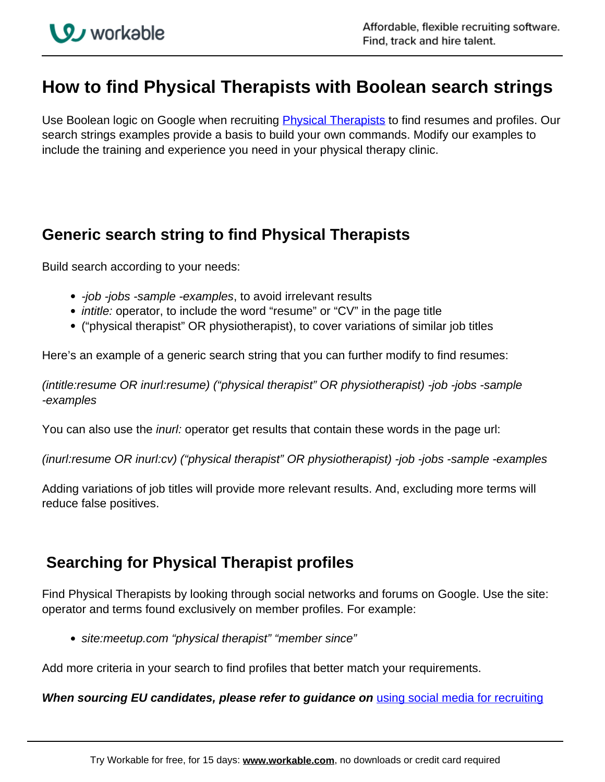# **How to find Physical Therapists with Boolean search strings**

Use Boolean logic on Google when recruiting *Physical Therapists* to find resumes and profiles. Our search strings examples provide a basis to build your own commands. Modify our examples to include the training and experience you need in your physical therapy clinic.

### **Generic search string to find Physical Therapists**

Build search according to your needs:

- -job -jobs -sample -examples, to avoid irrelevant results
- *intitle:* operator, to include the word "resume" or "CV" in the page title
- ("physical therapist" OR physiotherapist), to cover variations of similar job titles

Here's an example of a generic search string that you can further modify to find resumes:

(intitle:resume OR inurl:resume) ("physical therapist" OR physiotherapist) -job -jobs -sample -examples

You can also use the *inurl:* operator get results that contain these words in the page url:

(inurl:resume OR inurl:cv) ("physical therapist" OR physiotherapist) -job -jobs -sample -examples

Adding variations of job titles will provide more relevant results. And, excluding more terms will reduce false positives.

## **Searching for Physical Therapist profiles**

Find Physical Therapists by looking through social networks and forums on Google. Use the site: operator and terms found exclusively on member profiles. For example:

site:meetup.com "physical therapist" "member since"

Add more criteria in your search to find profiles that better match your requirements.

**When sourcing EU candidates, please refer to guidance on** using social media for recruiting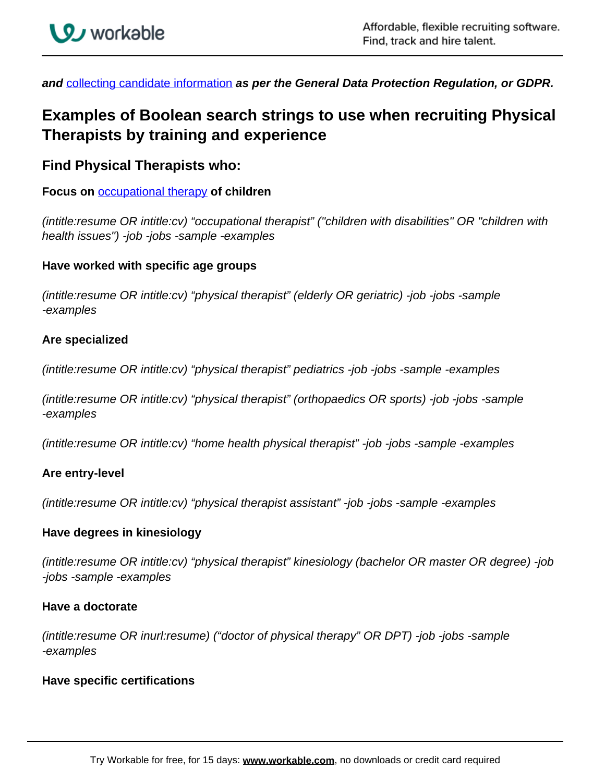

**and** collecting candidate information **as per the General Data Protection Regulation, or GDPR.**

## **Examples of Boolean search strings to use when recruiting Physical Therapists by training and experience**

### **Find Physical Therapists who:**

**Focus on** occupational therapy **of children**

(intitle:resume OR intitle:cv) "occupational therapist" ("children with disabilities" OR "children with health issues") -job -jobs -sample -examples

#### **Have worked with specific age groups**

(intitle:resume OR intitle:cv) "physical therapist" (elderly OR geriatric) -job -jobs -sample -examples

#### **Are specialized**

(intitle:resume OR intitle:cv) "physical therapist" pediatrics -job -jobs -sample -examples

(intitle:resume OR intitle:cv) "physical therapist" (orthopaedics OR sports) -job -jobs -sample -examples

(intitle:resume OR intitle:cv) "home health physical therapist" -job -jobs -sample -examples

#### **Are entry-level**

(intitle:resume OR intitle:cv) "physical therapist assistant" -job -jobs -sample -examples

#### **Have degrees in kinesiology**

(intitle:resume OR intitle:cv) "physical therapist" kinesiology (bachelor OR master OR degree) -job -jobs -sample -examples

#### **Have a doctorate**

(intitle:resume OR inurl:resume) ("doctor of physical therapy" OR DPT) -job -jobs -sample -examples

#### **Have specific certifications**